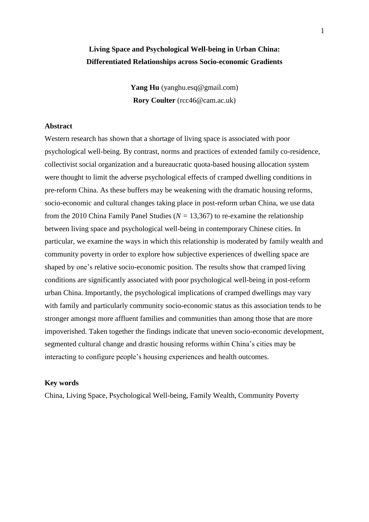# **Living Space and Psychological Well-being in Urban China: Differentiated Relationships across Socio-economic Gradients**

Yang Hu (yanghu.esq@gmail.com) **Rory Coulter** (rcc46@cam.ac.uk)

## **Abstract**

Western research has shown that a shortage of living space is associated with poor psychological well-being. By contrast, norms and practices of extended family co-residence, collectivist social organization and a bureaucratic quota-based housing allocation system were thought to limit the adverse psychological effects of cramped dwelling conditions in pre-reform China. As these buffers may be weakening with the dramatic housing reforms, socio-economic and cultural changes taking place in post-reform urban China, we use data from the 2010 China Family Panel Studies ( $N = 13,367$ ) to re-examine the relationship between living space and psychological well-being in contemporary Chinese cities. In particular, we examine the ways in which this relationship is moderated by family wealth and community poverty in order to explore how subjective experiences of dwelling space are shaped by one's relative socio-economic position. The results show that cramped living conditions are significantly associated with poor psychological well-being in post-reform urban China. Importantly, the psychological implications of cramped dwellings may vary with family and particularly community socio-economic status as this association tends to be stronger amongst more affluent families and communities than among those that are more impoverished. Taken together the findings indicate that uneven socio-economic development, segmented cultural change and drastic housing reforms within China's cities may be interacting to configure people's housing experiences and health outcomes.

#### **Key words**

China, Living Space, Psychological Well-being, Family Wealth, Community Poverty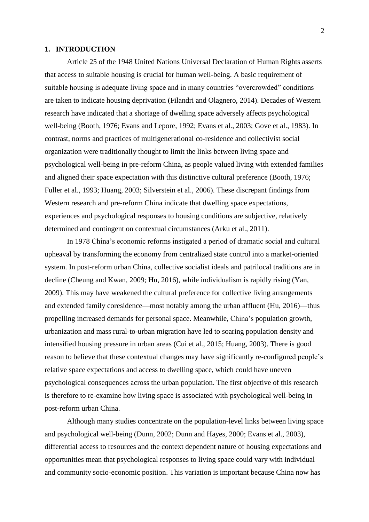#### **1. INTRODUCTION**

Article 25 of the 1948 United Nations Universal Declaration of Human Rights asserts that access to suitable housing is crucial for human well-being. A basic requirement of suitable housing is adequate living space and in many countries "overcrowded" conditions are taken to indicate housing deprivation (Filandri and Olagnero, 2014). Decades of Western research have indicated that a shortage of dwelling space adversely affects psychological well-being (Booth, 1976; Evans and Lepore, 1992; Evans et al., 2003; Gove et al., 1983). In contrast, norms and practices of multigenerational co-residence and collectivist social organization were traditionally thought to limit the links between living space and psychological well-being in pre-reform China, as people valued living with extended families and aligned their space expectation with this distinctive cultural preference (Booth, 1976; Fuller et al., 1993; Huang, 2003; Silverstein et al., 2006). These discrepant findings from Western research and pre-reform China indicate that dwelling space expectations, experiences and psychological responses to housing conditions are subjective, relatively determined and contingent on contextual circumstances (Arku et al., 2011).

In 1978 China's economic reforms instigated a period of dramatic social and cultural upheaval by transforming the economy from centralized state control into a market-oriented system. In post-reform urban China, collective socialist ideals and patrilocal traditions are in decline (Cheung and Kwan, 2009; Hu, 2016), while individualism is rapidly rising (Yan, 2009). This may have weakened the cultural preference for collective living arrangements and extended family coresidence—most notably among the urban affluent (Hu, 2016)—thus propelling increased demands for personal space. Meanwhile, China's population growth, urbanization and mass rural-to-urban migration have led to soaring population density and intensified housing pressure in urban areas (Cui et al., 2015; Huang, 2003). There is good reason to believe that these contextual changes may have significantly re-configured people's relative space expectations and access to dwelling space, which could have uneven psychological consequences across the urban population. The first objective of this research is therefore to re-examine how living space is associated with psychological well-being in post-reform urban China.

Although many studies concentrate on the population-level links between living space and psychological well-being (Dunn, 2002; Dunn and Hayes, 2000; Evans et al., 2003), differential access to resources and the context dependent nature of housing expectations and opportunities mean that psychological responses to living space could vary with individual and community socio-economic position. This variation is important because China now has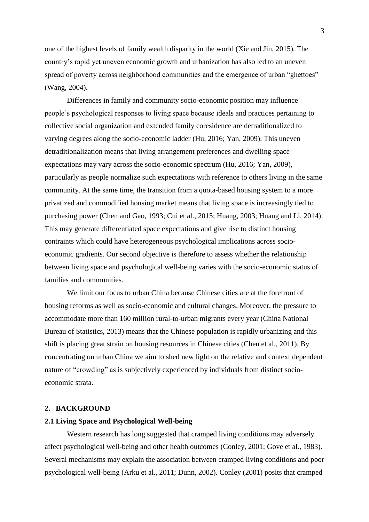one of the highest levels of family wealth disparity in the world (Xie and Jin, 2015). The country's rapid yet uneven economic growth and urbanization has also led to an uneven spread of poverty across neighborhood communities and the emergence of urban "ghettoes" (Wang, 2004).

Differences in family and community socio-economic position may influence people's psychological responses to living space because ideals and practices pertaining to collective social organization and extended family coresidence are detraditionalized to varying degrees along the socio-economic ladder (Hu, 2016; Yan, 2009). This uneven detraditionalization means that living arrangement preferences and dwelling space expectations may vary across the socio-economic spectrum (Hu, 2016; Yan, 2009), particularly as people normalize such expectations with reference to others living in the same community. At the same time, the transition from a quota-based housing system to a more privatized and commodified housing market means that living space is increasingly tied to purchasing power (Chen and Gao, 1993; Cui et al., 2015; Huang, 2003; Huang and Li, 2014). This may generate differentiated space expectations and give rise to distinct housing contraints which could have heterogeneous psychological implications across socioeconomic gradients. Our second objective is therefore to assess whether the relationship between living space and psychological well-being varies with the socio-economic status of families and communities.

We limit our focus to urban China because Chinese cities are at the forefront of housing reforms as well as socio-economic and cultural changes. Moreover, the pressure to accommodate more than 160 million rural-to-urban migrants every year (China National Bureau of Statistics, 2013) means that the Chinese population is rapidly urbanizing and this shift is placing great strain on housing resources in Chinese cities (Chen et al., 2011). By concentrating on urban China we aim to shed new light on the relative and context dependent nature of "crowding" as is subjectively experienced by individuals from distinct socioeconomic strata.

#### **2. BACKGROUND**

## **2.1 Living Space and Psychological Well-being**

Western research has long suggested that cramped living conditions may adversely affect psychological well-being and other health outcomes (Conley, 2001; Gove et al., 1983). Several mechanisms may explain the association between cramped living conditions and poor psychological well-being (Arku et al., 2011; Dunn, 2002). Conley (2001) posits that cramped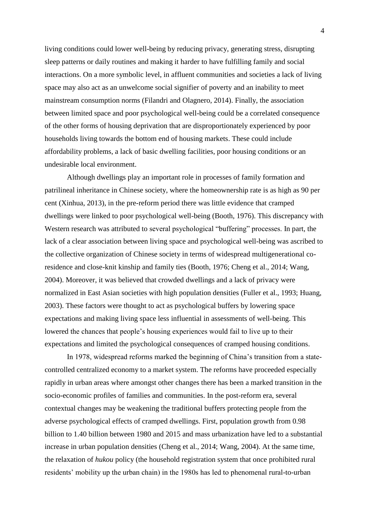living conditions could lower well-being by reducing privacy, generating stress, disrupting sleep patterns or daily routines and making it harder to have fulfilling family and social interactions. On a more symbolic level, in affluent communities and societies a lack of living space may also act as an unwelcome social signifier of poverty and an inability to meet mainstream consumption norms (Filandri and Olagnero, 2014). Finally, the association between limited space and poor psychological well-being could be a correlated consequence of the other forms of housing deprivation that are disproportionately experienced by poor households living towards the bottom end of housing markets. These could include affordability problems, a lack of basic dwelling facilities, poor housing conditions or an undesirable local environment.

Although dwellings play an important role in processes of family formation and patrilineal inheritance in Chinese society, where the homeownership rate is as high as 90 per cent (Xinhua, 2013), in the pre-reform period there was little evidence that cramped dwellings were linked to poor psychological well-being (Booth, 1976). This discrepancy with Western research was attributed to several psychological "buffering" processes. In part, the lack of a clear association between living space and psychological well-being was ascribed to the collective organization of Chinese society in terms of widespread multigenerational coresidence and close-knit kinship and family ties (Booth, 1976; Cheng et al., 2014; Wang, 2004). Moreover, it was believed that crowded dwellings and a lack of privacy were normalized in East Asian societies with high population densities (Fuller et al., 1993; Huang, 2003). These factors were thought to act as psychological buffers by lowering space expectations and making living space less influential in assessments of well-being. This lowered the chances that people's housing experiences would fail to live up to their expectations and limited the psychological consequences of cramped housing conditions.

In 1978, widespread reforms marked the beginning of China's transition from a statecontrolled centralized economy to a market system. The reforms have proceeded especially rapidly in urban areas where amongst other changes there has been a marked transition in the socio-economic profiles of families and communities. In the post-reform era, several contextual changes may be weakening the traditional buffers protecting people from the adverse psychological effects of cramped dwellings. First, population growth from 0.98 billion to 1.40 billion between 1980 and 2015 and mass urbanization have led to a substantial increase in urban population densities (Cheng et al., 2014; Wang, 2004). At the same time, the relaxation of *hukou* policy (the household registration system that once prohibited rural residents' mobility up the urban chain) in the 1980s has led to phenomenal rural-to-urban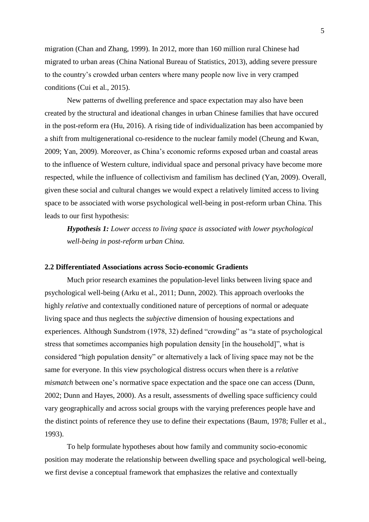migration (Chan and Zhang, 1999). In 2012, more than 160 million rural Chinese had migrated to urban areas (China National Bureau of Statistics, 2013), adding severe pressure to the country's crowded urban centers where many people now live in very cramped conditions (Cui et al., 2015).

New patterns of dwelling preference and space expectation may also have been created by the structural and ideational changes in urban Chinese families that have occured in the post-reform era (Hu, 2016). A rising tide of individualization has been accompanied by a shift from multigenerational co-residence to the nuclear family model (Cheung and Kwan, 2009; Yan, 2009). Moreover, as China's economic reforms exposed urban and coastal areas to the influence of Western culture, individual space and personal privacy have become more respected, while the influence of collectivism and familism has declined (Yan, 2009). Overall, given these social and cultural changes we would expect a relatively limited access to living space to be associated with worse psychological well-being in post-reform urban China. This leads to our first hypothesis:

*Hypothesis 1: Lower access to living space is associated with lower psychological well-being in post-reform urban China.*

#### **2.2 Differentiated Associations across Socio-economic Gradients**

Much prior research examines the population-level links between living space and psychological well-being (Arku et al., 2011; Dunn, 2002). This approach overlooks the highly *relative* and contextually conditioned nature of perceptions of normal or adequate living space and thus neglects the *subjective* dimension of housing expectations and experiences. Although Sundstrom (1978, 32) defined "crowding" as "a state of psychological stress that sometimes accompanies high population density [in the household]", what is considered "high population density" or alternatively a lack of living space may not be the same for everyone. In this view psychological distress occurs when there is a *relative mismatch* between one's normative space expectation and the space one can access (Dunn, 2002; Dunn and Hayes, 2000). As a result, assessments of dwelling space sufficiency could vary geographically and across social groups with the varying preferences people have and the distinct points of reference they use to define their expectations (Baum, 1978; Fuller et al., 1993).

To help formulate hypotheses about how family and community socio-economic position may moderate the relationship between dwelling space and psychological well-being, we first devise a conceptual framework that emphasizes the relative and contextually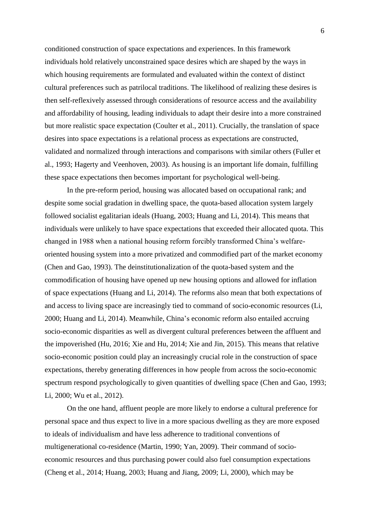conditioned construction of space expectations and experiences. In this framework individuals hold relatively unconstrained space desires which are shaped by the ways in which housing requirements are formulated and evaluated within the context of distinct cultural preferences such as patrilocal traditions. The likelihood of realizing these desires is then self-reflexively assessed through considerations of resource access and the availability and affordability of housing, leading individuals to adapt their desire into a more constrained but more realistic space expectation (Coulter et al., 2011). Crucially, the translation of space desires into space expectations is a relational process as expectations are constructed, validated and normalized through interactions and comparisons with similar others (Fuller et al., 1993; Hagerty and Veenhoven, 2003). As housing is an important life domain, fulfilling these space expectations then becomes important for psychological well-being.

In the pre-reform period, housing was allocated based on occupational rank; and despite some social gradation in dwelling space, the quota-based allocation system largely followed socialist egalitarian ideals (Huang, 2003; Huang and Li, 2014). This means that individuals were unlikely to have space expectations that exceeded their allocated quota. This changed in 1988 when a national housing reform forcibly transformed China's welfareoriented housing system into a more privatized and commodified part of the market economy (Chen and Gao, 1993). The deinstitutionalization of the quota-based system and the commodification of housing have opened up new housing options and allowed for inflation of space expectations (Huang and Li, 2014). The reforms also mean that both expectations of and access to living space are increasingly tied to command of socio-economic resources (Li, 2000; Huang and Li, 2014). Meanwhile, China's economic reform also entailed accruing socio-economic disparities as well as divergent cultural preferences between the affluent and the impoverished (Hu, 2016; Xie and Hu, 2014; Xie and Jin, 2015). This means that relative socio-economic position could play an increasingly crucial role in the construction of space expectations, thereby generating differences in how people from across the socio-economic spectrum respond psychologically to given quantities of dwelling space (Chen and Gao, 1993; Li, 2000; Wu et al., 2012).

On the one hand, affluent people are more likely to endorse a cultural preference for personal space and thus expect to live in a more spacious dwelling as they are more exposed to ideals of individualism and have less adherence to traditional conventions of multigenerational co-residence (Martin, 1990; Yan, 2009). Their command of socioeconomic resources and thus purchasing power could also fuel consumption expectations (Cheng et al., 2014; Huang, 2003; Huang and Jiang, 2009; Li, 2000), which may be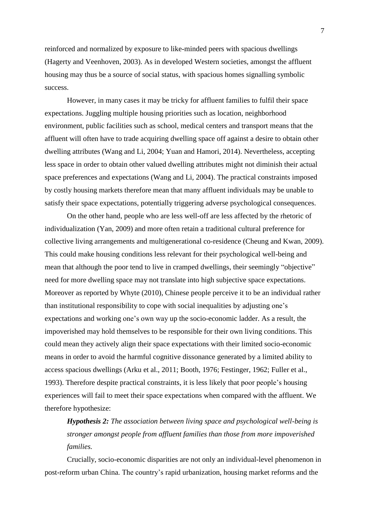reinforced and normalized by exposure to like-minded peers with spacious dwellings (Hagerty and Veenhoven, 2003). As in developed Western societies, amongst the affluent housing may thus be a source of social status, with spacious homes signalling symbolic success.

However, in many cases it may be tricky for affluent families to fulfil their space expectations. Juggling multiple housing priorities such as location, neighborhood environment, public facilities such as school, medical centers and transport means that the affluent will often have to trade acquiring dwelling space off against a desire to obtain other dwelling attributes (Wang and Li, 2004; Yuan and Hamori, 2014). Nevertheless, accepting less space in order to obtain other valued dwelling attributes might not diminish their actual space preferences and expectations (Wang and Li, 2004). The practical constraints imposed by costly housing markets therefore mean that many affluent individuals may be unable to satisfy their space expectations, potentially triggering adverse psychological consequences.

On the other hand, people who are less well-off are less affected by the rhetoric of individualization (Yan, 2009) and more often retain a traditional cultural preference for collective living arrangements and multigenerational co-residence (Cheung and Kwan, 2009). This could make housing conditions less relevant for their psychological well-being and mean that although the poor tend to live in cramped dwellings, their seemingly "objective" need for more dwelling space may not translate into high subjective space expectations. Moreover as reported by Whyte (2010), Chinese people perceive it to be an individual rather than institutional responsibility to cope with social inequalities by adjusting one's expectations and working one's own way up the socio-economic ladder. As a result, the impoverished may hold themselves to be responsible for their own living conditions. This could mean they actively align their space expectations with their limited socio-economic means in order to avoid the harmful cognitive dissonance generated by a limited ability to access spacious dwellings (Arku et al., 2011; Booth, 1976; Festinger, 1962; Fuller et al., 1993). Therefore despite practical constraints, it is less likely that poor people's housing experiences will fail to meet their space expectations when compared with the affluent. We therefore hypothesize:

*Hypothesis 2: The association between living space and psychological well-being is stronger amongst people from affluent families than those from more impoverished families.*

Crucially, socio-economic disparities are not only an individual-level phenomenon in post-reform urban China. The country's rapid urbanization, housing market reforms and the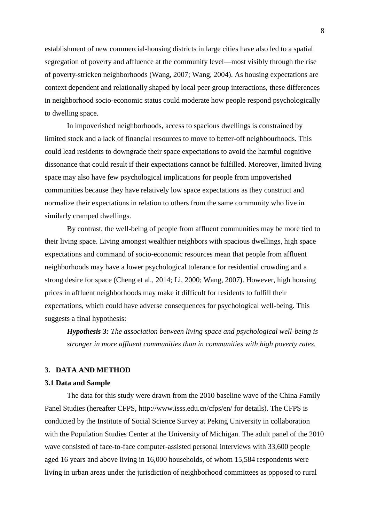establishment of new commercial-housing districts in large cities have also led to a spatial segregation of poverty and affluence at the community level—most visibly through the rise of poverty-stricken neighborhoods (Wang, 2007; Wang, 2004). As housing expectations are context dependent and relationally shaped by local peer group interactions, these differences in neighborhood socio-economic status could moderate how people respond psychologically to dwelling space.

In impoverished neighborhoods, access to spacious dwellings is constrained by limited stock and a lack of financial resources to move to better-off neighbourhoods. This could lead residents to downgrade their space expectations to avoid the harmful cognitive dissonance that could result if their expectations cannot be fulfilled. Moreover, limited living space may also have few psychological implications for people from impoverished communities because they have relatively low space expectations as they construct and normalize their expectations in relation to others from the same community who live in similarly cramped dwellings.

By contrast, the well-being of people from affluent communities may be more tied to their living space. Living amongst wealthier neighbors with spacious dwellings, high space expectations and command of socio-economic resources mean that people from affluent neighborhoods may have a lower psychological tolerance for residential crowding and a strong desire for space (Cheng et al., 2014; Li, 2000; Wang, 2007). However, high housing prices in affluent neighborhoods may make it difficult for residents to fulfill their expectations, which could have adverse consequences for psychological well-being. This suggests a final hypothesis:

*Hypothesis 3: The association between living space and psychological well-being is stronger in more affluent communities than in communities with high poverty rates.* 

## **3. DATA AND METHOD**

## **3.1 Data and Sample**

The data for this study were drawn from the 2010 baseline wave of the China Family Panel Studies (hereafter CFPS,<http://www.isss.edu.cn/cfps/en/> for details). The CFPS is conducted by the Institute of Social Science Survey at Peking University in collaboration with the Population Studies Center at the University of Michigan. The adult panel of the 2010 wave consisted of face-to-face computer-assisted personal interviews with 33,600 people aged 16 years and above living in 16,000 households, of whom 15,584 respondents were living in urban areas under the jurisdiction of neighborhood committees as opposed to rural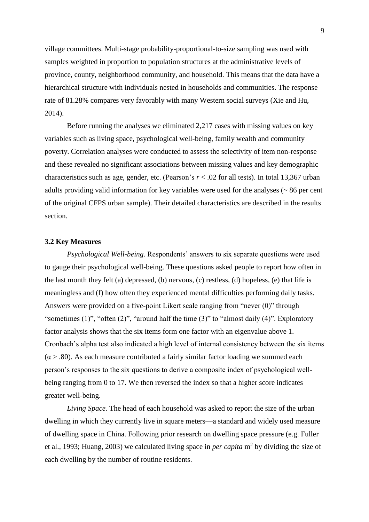village committees. Multi-stage probability-proportional-to-size sampling was used with samples weighted in proportion to population structures at the administrative levels of province, county, neighborhood community, and household. This means that the data have a hierarchical structure with individuals nested in households and communities. The response rate of 81.28% compares very favorably with many Western social surveys (Xie and Hu, 2014).

Before running the analyses we eliminated 2,217 cases with missing values on key variables such as living space, psychological well-being, family wealth and community poverty. Correlation analyses were conducted to assess the selectivity of item non-response and these revealed no significant associations between missing values and key demographic characteristics such as age, gender, etc. (Pearson's *r* < .02 for all tests). In total 13,367 urban adults providing valid information for key variables were used for the analyses (~ 86 per cent of the original CFPS urban sample). Their detailed characteristics are described in the results section.

#### **3.2 Key Measures**

*Psychological Well-being.* Respondents' answers to six separate questions were used to gauge their psychological well-being. These questions asked people to report how often in the last month they felt (a) depressed, (b) nervous, (c) restless, (d) hopeless, (e) that life is meaningless and (f) how often they experienced mental difficulties performing daily tasks. Answers were provided on a five-point Likert scale ranging from "never (0)" through "sometimes (1)", "often (2)", "around half the time (3)" to "almost daily (4)". Exploratory factor analysis shows that the six items form one factor with an eigenvalue above 1. Cronbach's alpha test also indicated a high level of internal consistency between the six items  $(\alpha > .80)$ . As each measure contributed a fairly similar factor loading we summed each person's responses to the six questions to derive a composite index of psychological wellbeing ranging from 0 to 17. We then reversed the index so that a higher score indicates greater well-being.

*Living Space.* The head of each household was asked to report the size of the urban dwelling in which they currently live in square meters—a standard and widely used measure of dwelling space in China. Following prior research on dwelling space pressure (e.g. Fuller et al., 1993; Huang, 2003) we calculated living space in *per capita* m<sup>2</sup> by dividing the size of each dwelling by the number of routine residents.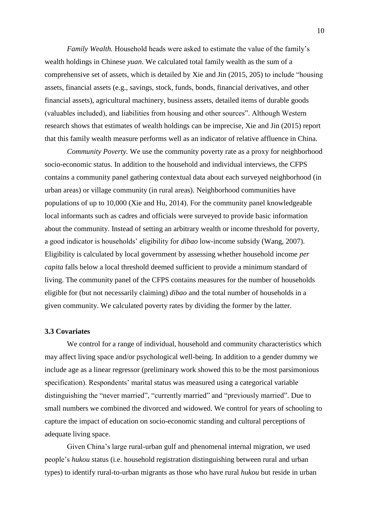*Family Wealth.* Household heads were asked to estimate the value of the family's wealth holdings in Chinese *yuan*. We calculated total family wealth as the sum of a comprehensive set of assets, which is detailed by Xie and Jin (2015, 205) to include "housing assets, financial assets (e.g., savings, stock, funds, bonds, financial derivatives, and other financial assets), agricultural machinery, business assets, detailed items of durable goods (valuables included), and liabilities from housing and other sources". Although Western research shows that estimates of wealth holdings can be imprecise, Xie and Jin (2015) report that this family wealth measure performs well as an indicator of relative affluence in China.

*Community Poverty.* We use the community poverty rate as a proxy for neighborhood socio-economic status. In addition to the household and individual interviews, the CFPS contains a community panel gathering contextual data about each surveyed neighborhood (in urban areas) or village community (in rural areas). Neighborhood communities have populations of up to 10,000 (Xie and Hu, 2014). For the community panel knowledgeable local informants such as cadres and officials were surveyed to provide basic information about the community. Instead of setting an arbitrary wealth or income threshold for poverty, a good indicator is households' eligibility for *dibao* low-income subsidy (Wang, 2007). Eligibility is calculated by local government by assessing whether household income *per capita* falls below a local threshold deemed sufficient to provide a minimum standard of living. The community panel of the CFPS contains measures for the number of households eligible for (but not necessarily claiming) *dibao* and the total number of households in a given community. We calculated poverty rates by dividing the former by the latter.

## **3.3 Covariates**

We control for a range of individual, household and community characteristics which may affect living space and/or psychological well-being. In addition to a gender dummy we include age as a linear regressor (preliminary work showed this to be the most parsimonious specification). Respondents' marital status was measured using a categorical variable distinguishing the "never married", "currently married" and "previously married". Due to small numbers we combined the divorced and widowed. We control for years of schooling to capture the impact of education on socio-economic standing and cultural perceptions of adequate living space.

Given China's large rural-urban gulf and phenomenal internal migration, we used people's *hukou* status (i.e. household registration distinguishing between rural and urban types) to identify rural-to-urban migrants as those who have rural *hukou* but reside in urban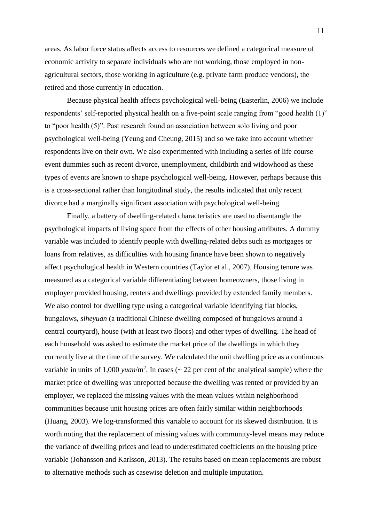areas. As labor force status affects access to resources we defined a categorical measure of economic activity to separate individuals who are not working, those employed in nonagricultural sectors, those working in agriculture (e.g. private farm produce vendors), the retired and those currently in education.

Because physical health affects psychological well-being (Easterlin, 2006) we include respondents' self-reported physical health on a five-point scale ranging from "good health (1)" to "poor health (5)". Past research found an association between solo living and poor psychological well-being (Yeung and Cheung, 2015) and so we take into account whether respondents live on their own. We also experimented with including a series of life course event dummies such as recent divorce, unemployment, childbirth and widowhood as these types of events are known to shape psychological well-being. However, perhaps because this is a cross-sectional rather than longitudinal study, the results indicated that only recent divorce had a marginally significant association with psychological well-being.

Finally, a battery of dwelling-related characteristics are used to disentangle the psychological impacts of living space from the effects of other housing attributes. A dummy variable was included to identify people with dwelling-related debts such as mortgages or loans from relatives, as difficulties with housing finance have been shown to negatively affect psychological health in Western countries (Taylor et al., 2007). Housing tenure was measured as a categorical variable differentiating between homeowners, those living in employer provided housing, renters and dwellings provided by extended family members. We also control for dwelling type using a categorical variable identifying flat blocks, bungalows, *siheyuan* (a traditional Chinese dwelling composed of bungalows around a central courtyard), house (with at least two floors) and other types of dwelling. The head of each household was asked to estimate the market price of the dwellings in which they currrently live at the time of the survey. We calculated the unit dwelling price as a continuous variable in units of 1,000 *yuan*/m<sup>2</sup>. In cases ( $\sim$  22 per cent of the analytical sample) where the market price of dwelling was unreported because the dwelling was rented or provided by an employer, we replaced the missing values with the mean values within neighborhood communities because unit housing prices are often fairly similar within neighborhoods (Huang, 2003). We log-transformed this variable to account for its skewed distribution. It is worth noting that the replacement of missing values with community-level means may reduce the variance of dwelling prices and lead to underestimated coefficients on the housing price variable (Johansson and Karlsson, 2013). The results based on mean replacements are robust to alternative methods such as casewise deletion and multiple imputation.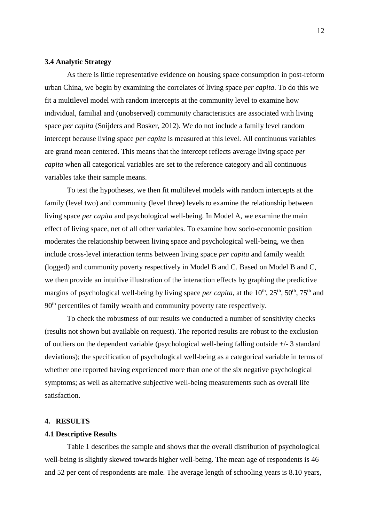## **3.4 Analytic Strategy**

As there is little representative evidence on housing space consumption in post-reform urban China, we begin by examining the correlates of living space *per capita*. To do this we fit a multilevel model with random intercepts at the community level to examine how individual, familial and (unobserved) community characteristics are associated with living space *per capita* (Snijders and Bosker, 2012). We do not include a family level random intercept because living space *per capita* is measured at this level. All continuous variables are grand mean centered. This means that the intercept reflects average living space *per capita* when all categorical variables are set to the reference category and all continuous variables take their sample means.

To test the hypotheses, we then fit multilevel models with random intercepts at the family (level two) and community (level three) levels to examine the relationship between living space *per capita* and psychological well-being. In Model A, we examine the main effect of living space, net of all other variables. To examine how socio-economic position moderates the relationship between living space and psychological well-being, we then include cross-level interaction terms between living space *per capita* and family wealth (logged) and community poverty respectively in Model B and C. Based on Model B and C, we then provide an intuitive illustration of the interaction effects by graphing the predictive margins of psychological well-being by living space *per capita*, at the 10<sup>th</sup>, 25<sup>th</sup>, 50<sup>th</sup>, 75<sup>th</sup> and 90<sup>th</sup> percentiles of family wealth and community poverty rate respectively.

To check the robustness of our results we conducted a number of sensitivity checks (results not shown but available on request). The reported results are robust to the exclusion of outliers on the dependent variable (psychological well-being falling outside  $+/-3$  standard deviations); the specification of psychological well-being as a categorical variable in terms of whether one reported having experienced more than one of the six negative psychological symptoms; as well as alternative subjective well-being measurements such as overall life satisfaction.

### **4. RESULTS**

#### **4.1 Descriptive Results**

Table 1 describes the sample and shows that the overall distribution of psychological well-being is slightly skewed towards higher well-being. The mean age of respondents is 46 and 52 per cent of respondents are male. The average length of schooling years is 8.10 years,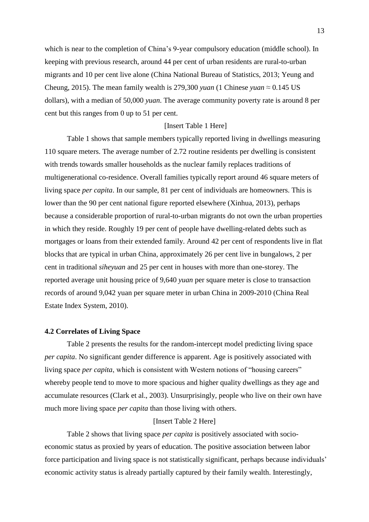which is near to the completion of China's 9-year compulsory education (middle school). In keeping with previous research, around 44 per cent of urban residents are rural-to-urban migrants and 10 per cent live alone (China National Bureau of Statistics, 2013; Yeung and Cheung, 2015). The mean family wealth is 279,300 *yuan* (1 Chinese *yuan*  $\approx 0.145$  US dollars), with a median of 50,000 *yuan*. The average community poverty rate is around 8 per cent but this ranges from 0 up to 51 per cent.

## [Insert Table 1 Here]

Table 1 shows that sample members typically reported living in dwellings measuring 110 square meters. The average number of 2.72 routine residents per dwelling is consistent with trends towards smaller households as the nuclear family replaces traditions of multigenerational co-residence. Overall families typically report around 46 square meters of living space *per capita*. In our sample, 81 per cent of individuals are homeowners. This is lower than the 90 per cent national figure reported elsewhere (Xinhua, 2013), perhaps because a considerable proportion of rural-to-urban migrants do not own the urban properties in which they reside. Roughly 19 per cent of people have dwelling-related debts such as mortgages or loans from their extended family. Around 42 per cent of respondents live in flat blocks that are typical in urban China, approximately 26 per cent live in bungalows, 2 per cent in traditional *siheyuan* and 25 per cent in houses with more than one-storey. The reported average unit housing price of 9,640 *yuan* per square meter is close to transaction records of around 9,042 yuan per square meter in urban China in 2009-2010 (China Real Estate Index System, 2010).

### **4.2 Correlates of Living Space**

Table 2 presents the results for the random-intercept model predicting living space *per capita*. No significant gender difference is apparent. Age is positively associated with living space *per capita*, which is consistent with Western notions of "housing careers" whereby people tend to move to more spacious and higher quality dwellings as they age and accumulate resources (Clark et al., 2003). Unsurprisingly, people who live on their own have much more living space *per capita* than those living with others.

### [Insert Table 2 Here]

Table 2 shows that living space *per capita* is positively associated with socioeconomic status as proxied by years of education. The positive association between labor force participation and living space is not statistically significant, perhaps because individuals' economic activity status is already partially captured by their family wealth. Interestingly,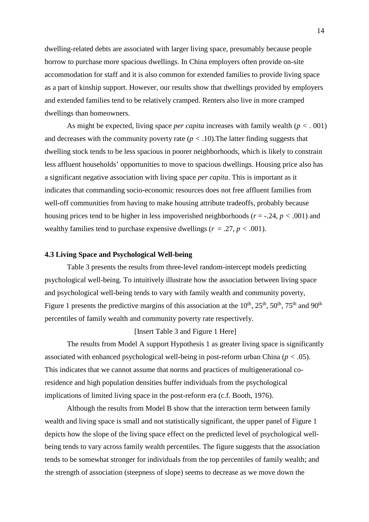dwelling-related debts are associated with larger living space, presumably because people borrow to purchase more spacious dwellings. In China employers often provide on-site accommodation for staff and it is also common for extended families to provide living space as a part of kinship support. However, our results show that dwellings provided by employers and extended families tend to be relatively cramped. Renters also live in more cramped dwellings than homeowners.

As might be expected, living space *per capita* increases with family wealth (*p < .* 001) and decreases with the community poverty rate  $(p < .10)$ . The latter finding suggests that dwelling stock tends to be less spacious in poorer neighborhoods, which is likely to constrain less affluent households' opportunities to move to spacious dwellings. Housing price also has a significant negative association with living space *per capita*. This is important as it indicates that commanding socio-economic resources does not free affluent families from well-off communities from having to make housing attribute tradeoffs, probably because housing prices tend to be higher in less impoverished neighborhoods ( $r = -0.24$ ,  $p < 0.001$ ) and wealthy families tend to purchase expensive dwellings ( $r = .27$ ,  $p < .001$ ).

## **4.3 Living Space and Psychological Well-being**

Table 3 presents the results from three-level random-intercept models predicting psychological well-being. To intuitively illustrate how the association between living space and psychological well-being tends to vary with family wealth and community poverty, Figure 1 presents the predictive margins of this association at the  $10^{th}$ ,  $25^{th}$ ,  $50^{th}$ ,  $75^{th}$  and  $90^{th}$ percentiles of family wealth and community poverty rate respectively.

### [Insert Table 3 and Figure 1 Here]

The results from Model A support Hypothesis 1 as greater living space is significantly associated with enhanced psychological well-being in post-reform urban China (*p < .*05). This indicates that we cannot assume that norms and practices of multigenerational coresidence and high population densities buffer individuals from the psychological implications of limited living space in the post-reform era (c.f. Booth, 1976).

Although the results from Model B show that the interaction term between family wealth and living space is small and not statistically significant, the upper panel of Figure 1 depicts how the slope of the living space effect on the predicted level of psychological wellbeing tends to vary across family wealth percentiles. The figure suggests that the association tends to be somewhat stronger for individuals from the top percentiles of family wealth; and the strength of association (steepness of slope) seems to decrease as we move down the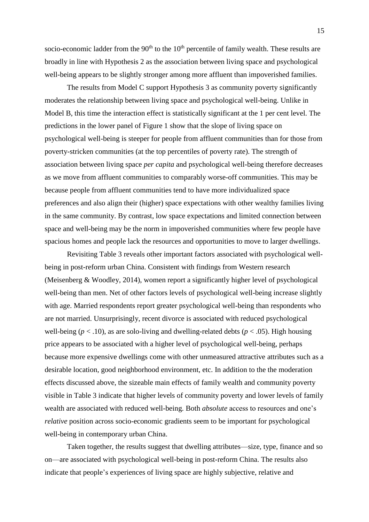socio-economic ladder from the  $90<sup>th</sup>$  to the  $10<sup>th</sup>$  percentile of family wealth. These results are broadly in line with Hypothesis 2 as the association between living space and psychological well-being appears to be slightly stronger among more affluent than impoverished families.

The results from Model C support Hypothesis 3 as community poverty significantly moderates the relationship between living space and psychological well-being. Unlike in Model B, this time the interaction effect is statistically significant at the 1 per cent level. The predictions in the lower panel of Figure 1 show that the slope of living space on psychological well-being is steeper for people from affluent communities than for those from poverty-stricken communities (at the top percentiles of poverty rate). The strength of association between living space *per capita* and psychological well-being therefore decreases as we move from affluent communities to comparably worse-off communities. This may be because people from affluent communities tend to have more individualized space preferences and also align their (higher) space expectations with other wealthy families living in the same community. By contrast, low space expectations and limited connection between space and well-being may be the norm in impoverished communities where few people have spacious homes and people lack the resources and opportunities to move to larger dwellings.

Revisiting Table 3 reveals other important factors associated with psychological wellbeing in post-reform urban China. Consistent with findings from Western research (Meisenberg & Woodley, 2014), women report a significantly higher level of psychological well-being than men. Net of other factors levels of psychological well-being increase slightly with age. Married respondents report greater psychological well-being than respondents who are not married. Unsurprisingly, recent divorce is associated with reduced psychological well-being ( $p < .10$ ), as are solo-living and dwelling-related debts ( $p < .05$ ). High housing price appears to be associated with a higher level of psychological well-being, perhaps because more expensive dwellings come with other unmeasured attractive attributes such as a desirable location, good neighborhood environment, etc. In addition to the the moderation effects discussed above, the sizeable main effects of family wealth and community poverty visible in Table 3 indicate that higher levels of community poverty and lower levels of family wealth are associated with reduced well-being. Both *absolute* access to resources and one's *relative* position across socio-economic gradients seem to be important for psychological well-being in contemporary urban China.

Taken together, the results suggest that dwelling attributes—size, type, finance and so on—are associated with psychological well-being in post-reform China. The results also indicate that people's experiences of living space are highly subjective, relative and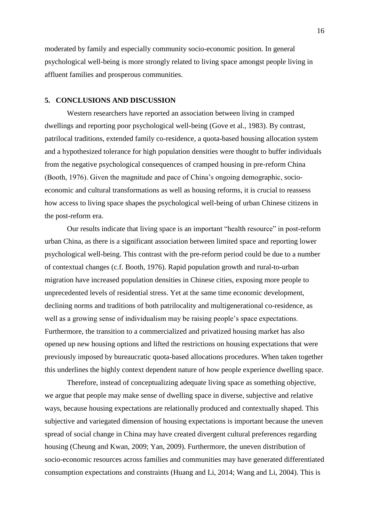moderated by family and especially community socio-economic position. In general psychological well-being is more strongly related to living space amongst people living in affluent families and prosperous communities.

## **5. CONCLUSIONS AND DISCUSSION**

Western researchers have reported an association between living in cramped dwellings and reporting poor psychological well-being (Gove et al., 1983). By contrast, patrilocal traditions, extended family co-residence, a quota-based housing allocation system and a hypothesized tolerance for high population densities were thought to buffer individuals from the negative psychological consequences of cramped housing in pre-reform China (Booth, 1976). Given the magnitude and pace of China's ongoing demographic, socioeconomic and cultural transformations as well as housing reforms, it is crucial to reassess how access to living space shapes the psychological well-being of urban Chinese citizens in the post-reform era.

Our results indicate that living space is an important "health resource" in post-reform urban China, as there is a significant association between limited space and reporting lower psychological well-being. This contrast with the pre-reform period could be due to a number of contextual changes (c.f. Booth, 1976). Rapid population growth and rural-to-urban migration have increased population densities in Chinese cities, exposing more people to unprecedented levels of residential stress. Yet at the same time economic development, declining norms and traditions of both patrilocality and multigenerational co-residence, as well as a growing sense of individualism may be raising people's space expectations. Furthermore, the transition to a commercialized and privatized housing market has also opened up new housing options and lifted the restrictions on housing expectations that were previously imposed by bureaucratic quota-based allocations procedures. When taken together this underlines the highly context dependent nature of how people experience dwelling space.

Therefore, instead of conceptualizing adequate living space as something objective, we argue that people may make sense of dwelling space in diverse, subjective and relative ways, because housing expectations are relationally produced and contextually shaped. This subjective and variegated dimension of housing expectations is important because the uneven spread of social change in China may have created divergent cultural preferences regarding housing (Cheung and Kwan, 2009; Yan, 2009). Furthermore, the uneven distribution of socio-economic resources across families and communities may have generated differentiated consumption expectations and constraints (Huang and Li, 2014; Wang and Li, 2004). This is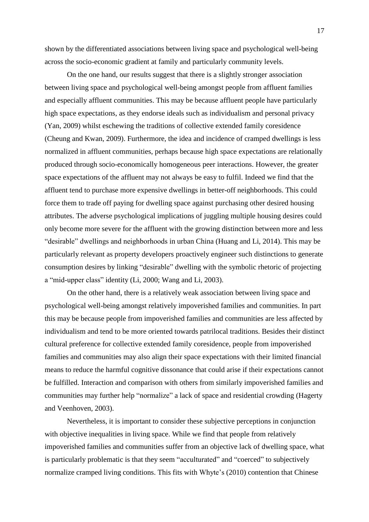shown by the differentiated associations between living space and psychological well-being across the socio-economic gradient at family and particularly community levels.

On the one hand, our results suggest that there is a slightly stronger association between living space and psychological well-being amongst people from affluent families and especially affluent communities. This may be because affluent people have particularly high space expectations, as they endorse ideals such as individualism and personal privacy (Yan, 2009) whilst eschewing the traditions of collective extended family coresidence (Cheung and Kwan, 2009). Furthermore, the idea and incidence of cramped dwellings is less normalized in affluent communities, perhaps because high space expectations are relationally produced through socio-economically homogeneous peer interactions. However, the greater space expectations of the affluent may not always be easy to fulfil. Indeed we find that the affluent tend to purchase more expensive dwellings in better-off neighborhoods. This could force them to trade off paying for dwelling space against purchasing other desired housing attributes. The adverse psychological implications of juggling multiple housing desires could only become more severe for the affluent with the growing distinction between more and less "desirable" dwellings and neighborhoods in urban China (Huang and Li, 2014). This may be particularly relevant as property developers proactively engineer such distinctions to generate consumption desires by linking "desirable" dwelling with the symbolic rhetoric of projecting a "mid-upper class" identity (Li, 2000; Wang and Li, 2003).

On the other hand, there is a relatively weak association between living space and psychological well-being amongst relatively impoverished families and communities. In part this may be because people from impoverished families and communities are less affected by individualism and tend to be more oriented towards patrilocal traditions. Besides their distinct cultural preference for collective extended family coresidence, people from impoverished families and communities may also align their space expectations with their limited financial means to reduce the harmful cognitive dissonance that could arise if their expectations cannot be fulfilled. Interaction and comparison with others from similarly impoverished families and communities may further help "normalize" a lack of space and residential crowding (Hagerty and Veenhoven, 2003).

Nevertheless, it is important to consider these subjective perceptions in conjunction with objective inequalities in living space. While we find that people from relatively impoverished families and communities suffer from an objective lack of dwelling space, what is particularly problematic is that they seem "acculturated" and "coerced" to subjectively normalize cramped living conditions. This fits with Whyte's (2010) contention that Chinese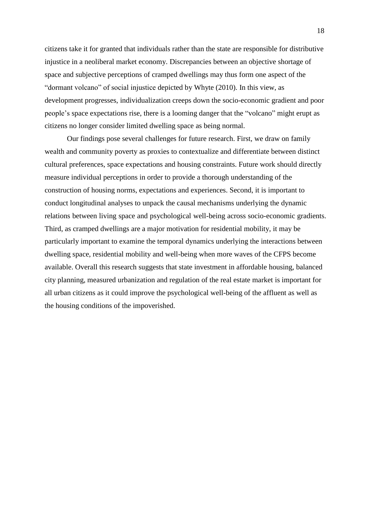citizens take it for granted that individuals rather than the state are responsible for distributive injustice in a neoliberal market economy. Discrepancies between an objective shortage of space and subjective perceptions of cramped dwellings may thus form one aspect of the "dormant volcano" of social injustice depicted by Whyte (2010). In this view, as development progresses, individualization creeps down the socio-economic gradient and poor people's space expectations rise, there is a looming danger that the "volcano" might erupt as citizens no longer consider limited dwelling space as being normal.

Our findings pose several challenges for future research. First, we draw on family wealth and community poverty as proxies to contextualize and differentiate between distinct cultural preferences, space expectations and housing constraints. Future work should directly measure individual perceptions in order to provide a thorough understanding of the construction of housing norms, expectations and experiences. Second, it is important to conduct longitudinal analyses to unpack the causal mechanisms underlying the dynamic relations between living space and psychological well-being across socio-economic gradients. Third, as cramped dwellings are a major motivation for residential mobility, it may be particularly important to examine the temporal dynamics underlying the interactions between dwelling space, residential mobility and well-being when more waves of the CFPS become available. Overall this research suggests that state investment in affordable housing, balanced city planning, measured urbanization and regulation of the real estate market is important for all urban citizens as it could improve the psychological well-being of the affluent as well as the housing conditions of the impoverished.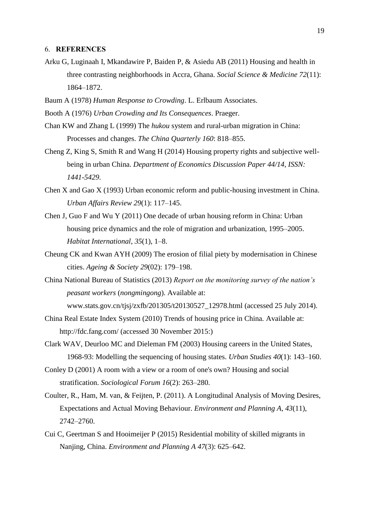#### 6. **REFERENCES**

- Arku G, Luginaah I, Mkandawire P, Baiden P, & Asiedu AB (2011) Housing and health in three contrasting neighborhoods in Accra, Ghana. *Social Science & Medicine 72*(11): 1864–1872.
- Baum A (1978) *Human Response to Crowding*. L. Erlbaum Associates.
- Booth A (1976) *Urban Crowding and Its Consequences*. Praeger.
- Chan KW and Zhang L (1999) The *hukou* system and rural-urban migration in China: Processes and changes. *The China Quarterly 160*: 818–855.
- Cheng Z, King S, Smith R and Wang H (2014) Housing property rights and subjective wellbeing in urban China. *Department of Economics Discussion Paper 44/14, ISSN: 1441-5429*.
- Chen X and Gao X (1993) Urban economic reform and public-housing investment in China. *Urban Affairs Review 29*(1): 117–145.
- Chen J, Guo F and Wu Y (2011) One decade of urban housing reform in China: Urban housing price dynamics and the role of migration and urbanization, 1995–2005. *Habitat International*, *35*(1), 1–8.
- Cheung CK and Kwan AYH (2009) The erosion of filial piety by modernisation in Chinese cities. *Ageing & Society 29*(02): 179–198.
- China National Bureau of Statistics (2013) *Report on the monitoring survey of the nation's peasant workers* (*nongmingong*). Available at: www.stats.gov.cn/tjsj/zxfb/201305/t20130527\_12978.html (accessed 25 July 2014).
- China Real Estate Index System (2010) Trends of housing price in China*.* Available at: http://fdc.fang.com/ (accessed 30 November 2015:)
- Clark WAV, Deurloo MC and Dieleman FM (2003) Housing careers in the United States, 1968-93: Modelling the sequencing of housing states. *Urban Studies 40*(1): 143–160.
- Conley D (2001) A room with a view or a room of one's own? Housing and social stratification. *Sociological Forum 16*(2): 263–280.
- Coulter, R., Ham, M. van, & Feijten, P. (2011). A Longitudinal Analysis of Moving Desires, Expectations and Actual Moving Behaviour. *Environment and Planning A*, *43*(11), 2742–2760.
- Cui C, Geertman S and Hooimeijer P (2015) Residential mobility of skilled migrants in Nanjing, China. *Environment and Planning A 47*(3): 625–642.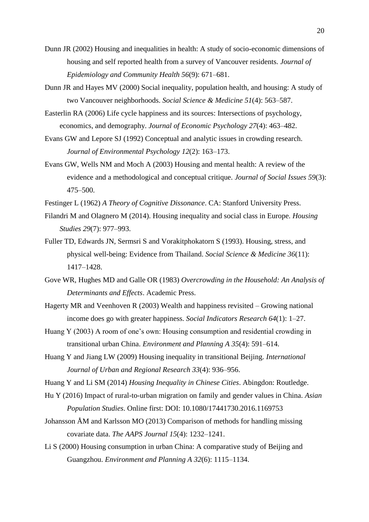- Dunn JR (2002) Housing and inequalities in health: A study of socio-economic dimensions of housing and self reported health from a survey of Vancouver residents. *Journal of Epidemiology and Community Health 56*(9): 671–681.
- Dunn JR and Hayes MV (2000) Social inequality, population health, and housing: A study of two Vancouver neighborhoods. *Social Science & Medicine 51*(4): 563–587.
- Easterlin RA (2006) Life cycle happiness and its sources: Intersections of psychology, economics, and demography. *Journal of Economic Psychology 27*(4): 463–482.
- Evans GW and Lepore SJ (1992) Conceptual and analytic issues in crowding research. *Journal of Environmental Psychology 12*(2): 163–173.
- Evans GW, Wells NM and Moch A (2003) Housing and mental health: A review of the evidence and a methodological and conceptual critique. *Journal of Social Issues 59*(3): 475–500.
- Festinger L (1962) *A Theory of Cognitive Dissonance*. CA: Stanford University Press.
- Filandri M and Olagnero M (2014). Housing inequality and social class in Europe. *Housing Studies 29*(7): 977–993.
- Fuller TD, Edwards JN, Sermsri S and Vorakitphokatorn S (1993). Housing, stress, and physical well-being: Evidence from Thailand. *Social Science & Medicine 36*(11): 1417–1428.
- Gove WR, Hughes MD and Galle OR (1983) *Overcrowding in the Household: An Analysis of Determinants and Effects*. Academic Press.
- Hagerty MR and Veenhoven R (2003) Wealth and happiness revisited Growing national income does go with greater happiness. *Social Indicators Research 64*(1): 1–27.
- Huang Y (2003) A room of one's own: Housing consumption and residential crowding in transitional urban China. *Environment and Planning A 35*(4): 591–614.
- Huang Y and Jiang LW (2009) Housing inequality in transitional Beijing. *International Journal of Urban and Regional Research 33*(4): 936–956.
- Huang Y and Li SM (2014) *Housing Inequality in Chinese Cities*. Abingdon: Routledge.
- Hu Y (2016) Impact of rural-to-urban migration on family and gender values in China. *Asian Population Studies*. Online first: DOI: 10.1080/17441730.2016.1169753
- Johansson ÅM and Karlsson MO (2013) Comparison of methods for handling missing covariate data. *The AAPS Journal 15*(4): 1232–1241.
- Li S (2000) Housing consumption in urban China: A comparative study of Beijing and Guangzhou. *Environment and Planning A 32*(6): 1115–1134.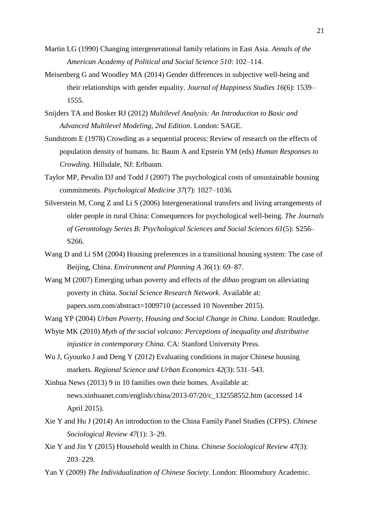- Martin LG (1990) Changing intergenerational family relations in East Asia. *Annals of the American Academy of Political and Social Science 510*: 102–114.
- Meisenberg G and Woodley MA (2014) Gender differences in subjective well-being and their relationships with gender equality. *Journal of Happiness Studies 16*(6): 1539– 1555.
- Snijders TA and Bosker RJ (2012) *Multilevel Analysis: An Introduction to Basic and Advanced Multilevel Modeling*, *2nd Edition*. London: SAGE.
- Sundstrom E (1978) Crowding as a sequential process: Review of research on the effects of population density of humans. In: Baum A and Epstein YM (eds) *Human Responses to Crowding*. Hillsdale, NJ: Erlbaum.
- Taylor MP, Pevalin DJ and Todd J (2007) The psychological costs of unsustainable housing commitments. *Psychological Medicine 37*(7): 1027–1036.
- Silverstein M, Cong Z and Li S (2006) Intergenerational transfers and living arrangements of older people in rural China: Consequences for psychological well-being. *The Journals of Gerontology Series B: Psychological Sciences and Social Sciences 61*(5): S256– S266.
- Wang D and Li SM (2004) Housing preferences in a transitional housing system: The case of Beijing, China. *Environment and Planning A 36*(1): 69–87.
- Wang M (2007) Emerging urban poverty and effects of the *dibao* program on alleviating poverty in china. *Social Science Research Network*. Available at: papers.ssrn.com/abstract=1009710 (accessed 10 November 2015).

Wang YP (2004) *Urban Poverty, Housing and Social Change in China*. London: Routledge.

- Whyte MK (2010) *Myth of the social volcano: Perceptions of inequality and distributive injustice in contemporary China*. CA: Stanford University Press.
- Wu J, Gyourko J and Deng Y (2012) Evaluating conditions in major Chinese housing markets. *Regional Science and Urban Economics 42*(3): 531–543.
- Xinhua News (2013) 9 in 10 families own their homes*.* Available at: news.xinhuanet.com/english/china/2013-07/20/c\_132558552.htm (accessed 14 April 2015).
- Xie Y and Hu J (2014) An introduction to the China Family Panel Studies (CFPS). *Chinese Sociological Review 47*(1): 3–29.
- Xie Y and Jin Y (2015) Household wealth in China. *Chinese Sociological Review 47*(3): 203–229.
- Yan Y (2009) *The Individualization of Chinese Society*. London: Bloomsbury Academic.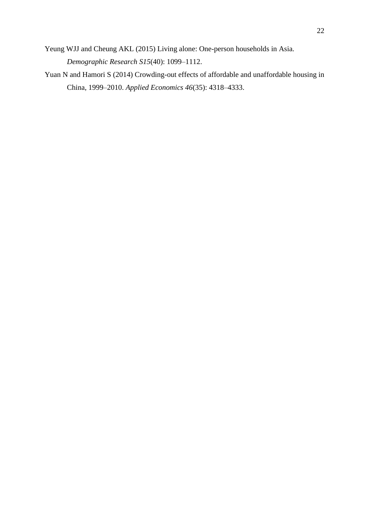- Yeung WJJ and Cheung AKL (2015) Living alone: One-person households in Asia. *Demographic Research S15*(40): 1099–1112.
- Yuan N and Hamori S (2014) Crowding-out effects of affordable and unaffordable housing in China, 1999–2010. *Applied Economics 46*(35): 4318–4333.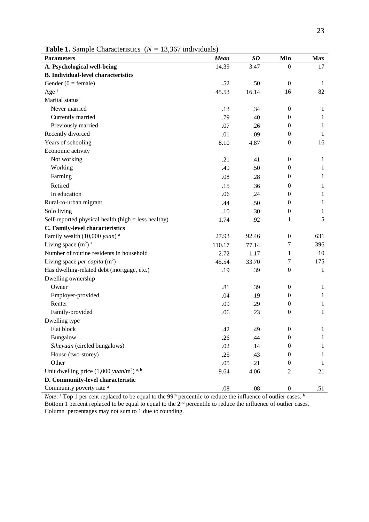| <b>Parameters</b>                                              | Mean    | SD      | Min              | <b>Max</b>   |
|----------------------------------------------------------------|---------|---------|------------------|--------------|
| A. Psychological well-being                                    | 14.39   | 3.47    | 0                | 17           |
| <b>B.</b> Individual-level characteristics                     |         |         |                  |              |
| Gender $(0 = \text{female})$                                   | .52     | .50     | $\overline{0}$   | 1            |
| Age <sup>a</sup>                                               | 45.53   | 16.14   | 16               | 82           |
| Marital status                                                 |         |         |                  |              |
| Never married                                                  | .13     | .34     | $\boldsymbol{0}$ | 1            |
| Currently married                                              | .79     | .40     | $\boldsymbol{0}$ | $\mathbf{1}$ |
| Previously married                                             | .07     | .26     | $\boldsymbol{0}$ | $\mathbf{1}$ |
| Recently divorced                                              | .01     | .09     | $\mathbf{0}$     | 1            |
| Years of schooling                                             | 8.10    | 4.87    | $\boldsymbol{0}$ | 16           |
| Economic activity                                              |         |         |                  |              |
| Not working                                                    | .21     | .41     | $\boldsymbol{0}$ | $\mathbf{1}$ |
| Working                                                        | .49     | .50     | $\boldsymbol{0}$ | $\mathbf{1}$ |
| Farming                                                        | .08     | .28     | $\boldsymbol{0}$ | $\mathbf{1}$ |
| Retired                                                        | .15     | .36     | $\mathbf{0}$     | 1            |
| In education                                                   | .06     | .24     | $\boldsymbol{0}$ | $\mathbf{1}$ |
| Rural-to-urban migrant                                         | .44     | .50     | $\boldsymbol{0}$ | $\mathbf{1}$ |
| Solo living                                                    | .10     | .30     | $\boldsymbol{0}$ | 1            |
| Self-reported physical health (high $=$ less healthy)          | 1.74    | .92     | 1                | 5            |
| C. Family-level characteristics                                |         |         |                  |              |
| Family wealth (10,000 yuan) <sup>a</sup>                       | 27.93   | 92.46   | $\boldsymbol{0}$ | 631          |
| Living space $(m^2)$ <sup>a</sup>                              | 110.17  | 77.14   | 7                | 396          |
| Number of routine residents in household                       | 2.72    | 1.17    | 1                | 10           |
| Living space <i>per capita</i> $(m^2)$                         | 45.54   | 33.70   | 7                | 175          |
| Has dwelling-related debt (mortgage, etc.)                     | .19     | .39     | $\boldsymbol{0}$ | 1            |
| Dwelling ownership                                             |         |         |                  |              |
| Owner                                                          | .81     | .39     | $\boldsymbol{0}$ | $\mathbf{1}$ |
| Employer-provided                                              | .04     | .19     | $\boldsymbol{0}$ | $\mathbf{1}$ |
| Renter                                                         | .09     | .29     | $\boldsymbol{0}$ | $\mathbf{1}$ |
| Family-provided                                                | .06     | .23     | $\mathbf{0}$     | $\mathbf{1}$ |
| Dwelling type                                                  |         |         |                  |              |
| Flat block                                                     | .42     | .49     | $\boldsymbol{0}$ | 1            |
| Bungalow                                                       | .26     | .44     | $\boldsymbol{0}$ | $\mathbf{1}$ |
| Siheyuan (circled bungalows)                                   | .02     | .14     | 0                | 1            |
| House (two-storey)                                             | .25     | .43     | 0                | $\mathbf{1}$ |
| Other                                                          | .05     | .21     | $\boldsymbol{0}$ | $\mathbf{1}$ |
| Unit dwelling price $(1,000 \text{ yuan/m}^2)$ <sup>a, b</sup> | 9.64    | 4.06    | 2                | 21           |
| D. Community-level characteristic                              |         |         |                  |              |
| Community poverty rate <sup>a</sup>                            | $.08\,$ | $.08\,$ | $\boldsymbol{0}$ | .51          |

*Note*: <sup>a</sup> Top 1 per cent replaced to be equal to the 99<sup>th</sup> percentile to reduce the influence of outlier cases. <sup>b</sup> Bottom 1 percent replaced to be equal to equal to the  $2<sup>nd</sup>$  percentile to reduce the influence of outlier cases. Column percentages may not sum to 1 due to rounding.

**Table 1.** Sample Characteristics (*N =* 13,367 individuals)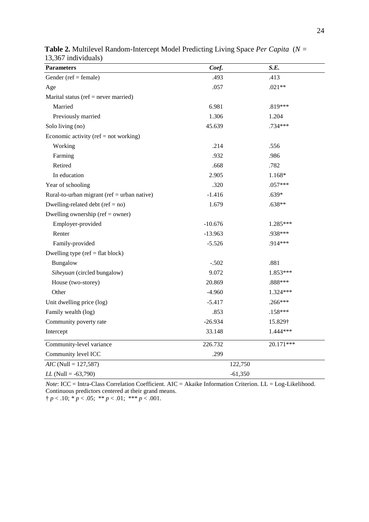| <b>Parameters</b>                               | Coef.     | S.E.       |
|-------------------------------------------------|-----------|------------|
| Gender ( $ref = female$ )                       | .493      | .413       |
| Age                                             | .057      | $.021**$   |
| Marital status (ref = never married)            |           |            |
| Married                                         | 6.981     | .819***    |
| Previously married                              | 1.306     | 1.204      |
| Solo living (no)                                | 45.639    | .734***    |
| Economic activity (ref = not working)           |           |            |
| Working                                         | .214      | .556       |
| Farming                                         | .932      | .986       |
| Retired                                         | .668      | .782       |
| In education                                    | 2.905     | 1.168*     |
| Year of schooling                               | .320      | $.057***$  |
| Rural-to-urban migrant ( $ref = urban native$ ) | $-1.416$  | $.639*$    |
| Dwelling-related debt ( $ref = no$ )            | 1.679     | .638**     |
| Dwelling ownership (ref = $o$ wner)             |           |            |
| Employer-provided                               | $-10.676$ | 1.285***   |
| Renter                                          | $-13.963$ | .938***    |
| Family-provided                                 | $-5.526$  | $.914***$  |
| Dwelling type ( $ref = flat block$ )            |           |            |
| Bungalow                                        | $-.502$   | .881       |
| Siheyuan (circled bungalow)                     | 9.072     | 1.853***   |
| House (two-storey)                              | 20.869    | .888***    |
| Other                                           | $-4.960$  | $1.324***$ |
| Unit dwelling price (log)                       | $-5.417$  | .266***    |
| Family wealth (log)                             | .853      | $.158***$  |
| Community poverty rate                          | $-26.934$ | 15.829†    |
| Intercept                                       | 33.148    | 1.444***   |
| Community-level variance                        | 226.732   | 20.171***  |
| Community level ICC                             | .299      |            |
| $AIC$ (Null = 127,587)                          | 122,750   |            |
| $LL$ (Null = -63,790)                           | $-61,350$ |            |

| <b>Table 2.</b> Multilevel Random-Intercept Model Predicting Living Space Per Capita (N = |  |
|-------------------------------------------------------------------------------------------|--|
| 13,367 individuals)                                                                       |  |

*Note*: ICC = Intra-Class Correlation Coefficient. AIC = Akaike Information Criterion. LL = Log-Likelihood. Continuous predictors centered at their grand means.

 $\uparrow p < .10; \, \vDash p < .05; \, \vDash \vDash p < .01; \, \vDash \vDash \vDash p < .001.$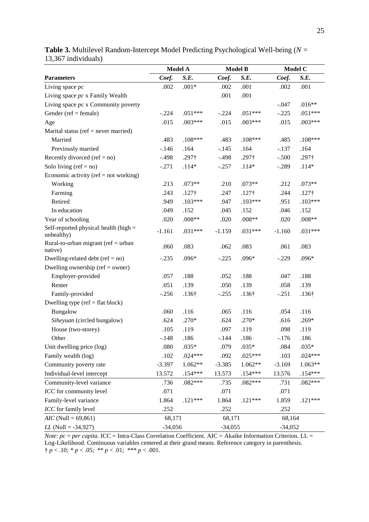|                                                       | Model A   |               | <b>Model B</b> |               | <b>Model C</b> |               |
|-------------------------------------------------------|-----------|---------------|----------------|---------------|----------------|---------------|
| <b>Parameters</b>                                     | Coef.     | S.E.          | Coef.          | S.E.          | Coef.          | S.E.          |
| Living space pc                                       | .002      | $.001*$       | .002           | .001          | .002           | .001          |
| Living space $pc \times$ Family Wealth                |           |               | .001           | .001          |                |               |
| Living space $pc \times$ Community poverty            |           |               |                |               | $-.047$        | $.016**$      |
| Gender ( $ref = female$ )                             | $-.224$   | $.051***$     | $-.224$        | $.051***$     | $-.225$        | $.051***$     |
| Age                                                   | .015      | $.003***$     | .015           | $.003***$     | .015           | $.003***$     |
| Marital status (ref $=$ never married)                |           |               |                |               |                |               |
| Married                                               | .483      | $.108***$     | .483           | $.108***$     | .485           | $.108***$     |
| Previously married                                    | $-.146$   | .164          | $-.145$        | .164          | $-.137$        | .164          |
| Recently divorced ( $ref = no$ )                      | $-.498$   | $.297\dagger$ | $-.498$        | $.297\dagger$ | $-.500$        | .297†         |
| Solo living $(ref = no)$                              | $-.271$   | $.114*$       | $-.257$        | $.114*$       | $-.289$        | $.114*$       |
| Economic activity (ref = not working)                 |           |               |                |               |                |               |
| Working                                               | .213      | $.073**$      | .210           | $.073**$      | .212           | $.073**$      |
| Farming                                               | .243      | $.127\dagger$ | .247           | $.127\dagger$ | .244           | $.127\dagger$ |
| Retired                                               | .949      | $.103***$     | .947           | $.103***$     | .951           | $.103***$     |
| In education                                          | .049      | .152          | .045           | .152          | .046           | .152          |
| Year of schooling                                     | .020      | $.008**$      | .020           | $.008**$      | .020           | $.008**$      |
| Self-reported physical health (high $=$<br>unhealthy) | $-1.161$  | .031***       | $-1.159$       | $.031***$     | $-1.160$       | $.031***$     |
| Rural-to-urban migrant (ref = urban<br>native)        | .060      | .083          | .062           | .083          | .061           | .083          |
| Dwelling-related debt ( $ref = no$ )                  | $-.235$   | .096*         | $-.225$        | $.096*$       | $-.229$        | .096*         |
| Dwelling ownership ( $ref = owner$ )                  |           |               |                |               |                |               |
| Employer-provided                                     | .057      | .188          | .052           | .188          | .047           | .188          |
| Renter                                                | .051      | .139          | .050           | .139          | .058           | .139          |
| Family-provided                                       | $-.256$   | $.136\dagger$ | $-.255$        | $.136\dagger$ | $-.251$        | $.136\dagger$ |
| Dwelling type ( $ref = flat block$ )                  |           |               |                |               |                |               |
| Bungalow                                              | .060      | .116          | .065           | .116          | .054           | .116          |
| Siheyuan (circled bungalow)                           | .624      | .270*         | .624           | $.270*$       | .616           | $.269*$       |
| House (two-storey)                                    | .105      | .119          | .097           | .119          | .098           | .119          |
| Other                                                 | $-.148$   | .186          | $-144$         | .186          | $-.176$        | .186          |
| Unit dwelling price (log)                             | .080      | $.035*$       | .079           | $.035*$       | .084           | $.035*$       |
| Family wealth (log)                                   | .102      | $.024***$     | .092           | $.025***$     | .103           | $.024***$     |
| Community poverty rate                                | $-3.397$  | 1.062**       | $-3.385$       | $1.062**$     | $-3.169$       | $1.063**$     |
| Individual-level intercept                            | 13.572    | $.154***$     | 13.573         | $.154***$     | 13.576         | .154***       |
| Community-level variance                              | .736      | $.082***$     | .735           | $.082***$     | .731           | $.082***$     |
| ICC for community level                               | .071      |               | .071           |               | .071           |               |
| Family-level variance                                 | 1.864     | $.121***$     | 1.864          | $.121***$     | 1.859          | $.121***$     |
| ICC for family level                                  | .252      |               | .252           |               | .252           |               |
| $AIC$ (Null = 69,861)                                 | 68,171    |               | 68,171         |               | 68,164         |               |
| $LL$ (Null = -34,927)                                 | $-34,056$ |               | $-34,055$      |               | $-34,052$      |               |

**Table 3.** Multilevel Random-Intercept Model Predicting Psychological Well-being (*N =*  13,367 individuals)

*Note*: *pc* = *per capita*. ICC = Intra-Class Correlation Coefficient. AIC = Akaike Information Criterion. LL = Log-Likelihood. Continuous variables centered at their grand means. Reference category in parenthesis.  $\uparrow p < .10; \, \ast p < .05; \, \ast \ast p < .01; \, \ast \ast \ast p < .001.$